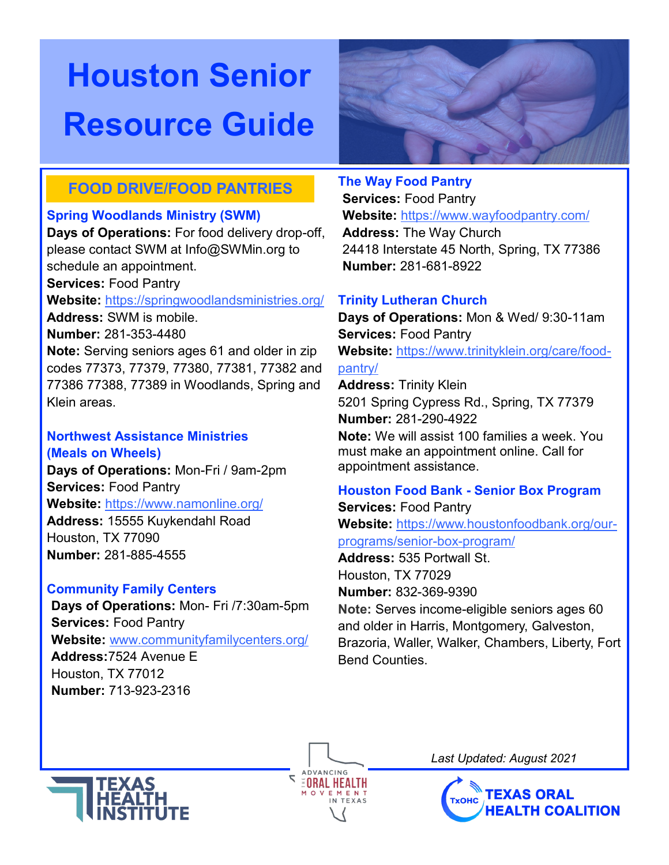

# **FOOD DRIVE/FOOD PANTRIES**

# **Spring Woodlands Ministry (SWM)**

**Days of Operations:** For food delivery drop-off, please contact SWM at Info@SWMin.org to schedule an appointment. **Services:** Food Pantry

## **Website:** https://springwoodlandsministries.org/

**Address:** SWM is mobile.

**Number:** 281-353-4480

**Note:** Serving seniors ages 61 and older in zip codes 77373, 77379, 77380, 77381, 77382 and 77386 77388, 77389 in Woodlands, Spring and Klein areas.

## **Northwest Assistance Ministries (Meals on Wheels)**

**Days of Operations:** Mon-Fri / 9am-2pm **Services:** Food Pantry **Website:** https://www.namonline.org/ **Address:** 15555 Kuykendahl Road Houston, TX 77090 **Number:** 281-885-4555

# **Community Family Centers**

**Days of Operations:** Mon- Fri /7:30am-5pm **Services:** Food Pantry **Website:** www.communityfamilycenters.org/ **Address:**7524 Avenue E Houston, TX 77012 **Number:** 713-923-2316

## **The Way Food Pantry**

**Services:** Food Pantry **Website:** https://www.wayfoodpantry.com/ **Address:** The Way Church 24418 Interstate 45 North, Spring, TX 77386 **Number:** 281-681-8922

# **Trinity Lutheran Church**

**Days of Operations:** Mon & Wed/ 9:30-11am **Services:** Food Pantry **Website:** [https://www.trinityklein.org/care/food](https://www.trinityklein.org/care/food-pantry/)-

# [pantry/](https://www.trinityklein.org/care/food-pantry/)

**ADVANCING EORAL HEALTH** 

**Address:** Trinity Klein 5201 Spring Cypress Rd., Spring, TX 77379 **Number:** 281-290-4922

**Note:** We will assist 100 families a week. You must make an appointment online. Call for appointment assistance.

# **Houston Food Bank - Senior Box Program**

**Services:** Food Pantry

**Website:** https://www.houstonfoodbank.org/ourprograms/senior-box-program/

**Address:** 535 Portwall St. Houston, TX 77029 **Number:** 832-369-9390

**Note:** Serves income-eligible seniors ages 60 and older in Harris, Montgomery, Galveston, Brazoria, Waller, Walker, Chambers, Liberty, Fort Bend Counties.



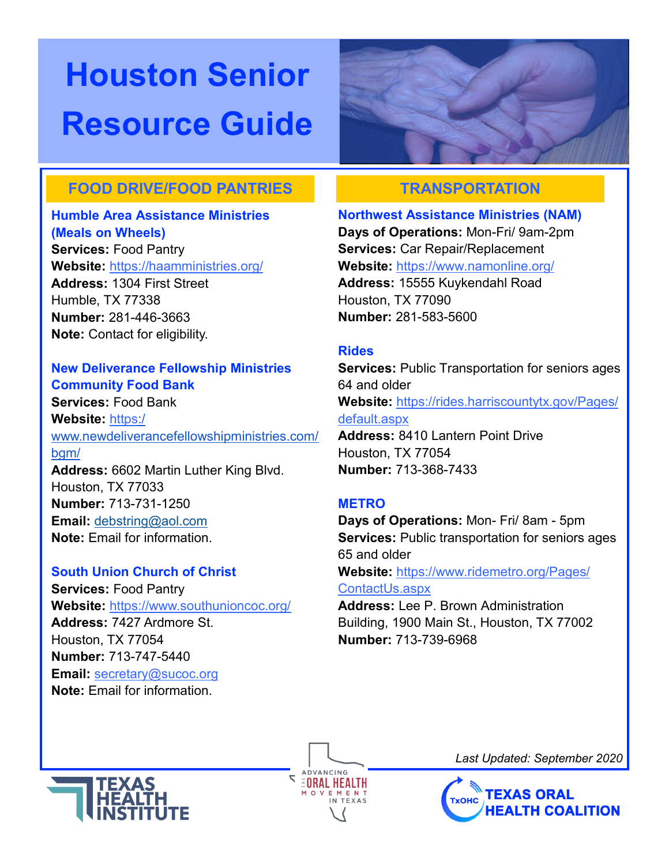

# **FOOD DRIVE/FOOD PANTRIES TRANSPORTATION**

# **Humble Area Assistance Ministries**

**(Meals on Wheels) Services:** Food Pantry **Website:** <https://haamministries.org/> **Address:** 1304 First Street Humble, TX 77338 **Number:** 281-446-3663 **Note:** Contact for eligibility.

### **New Deliverance Fellowship Ministries Community Food Bank**

**Services:** Food Bank **Website:** [https:/](https://www.newdeliverancefellowshipministries.com/bgm/) [www.newdeliverancefellowshipministries.com/](https://www.newdeliverancefellowshipministries.com/bgm/) [bgm/](https://www.newdeliverancefellowshipministries.com/bgm/) **Address:** 6602 Martin Luther King Blvd. Houston, TX 77033

**Number:** 713-731-1250 **Email:** [debstring@aol.com](mailto:debstring@aol.com) **Note:** Email for information.

# **South Union Church of Christ**

**Services:** Food Pantry **Website:** <https://www.southunioncoc.org/> **Address:** 7427 Ardmore St. Houston, TX 77054 **Number:** 713-747-5440 **Email:** [secretary@sucoc.org](mailto:secretary@sucoc.org) **Note:** Email for information.

**Northwest Assistance Ministries (NAM)**

**Days of Operations:** Mon-Fri/ 9am-2pm **Services:** Car Repair/Replacement **Website:** https://www.namonline.org/ **Address:** 15555 Kuykendahl Road Houston, TX 77090 **Number:** 281-583-5600

## **Rides**

**Services:** Public Transportation for seniors ages 64 and older **Website:** https://rides.harriscountytx.gov/Pages/ default.aspx **Address:** 8410 Lantern Point Drive Houston, TX 77054 **Number:** 713-368-7433

## **METRO**

**ADVANCING EORAL HEALTH** 

**Days of Operations:** Mon- Fri/ 8am - 5pm **Services:** Public transportation for seniors ages 65 and older **Website:** [https://www.ridemetro.org/Pages/](https://www.ridemetro.org/Pages/ContactUs.aspx) [ContactUs.aspx](https://www.ridemetro.org/Pages/ContactUs.aspx) **Address:** Lee P. Brown Administration Building, 1900 Main St., Houston, TX 77002

**Number:** 713-739-6968



*Last Updated: September 2020*

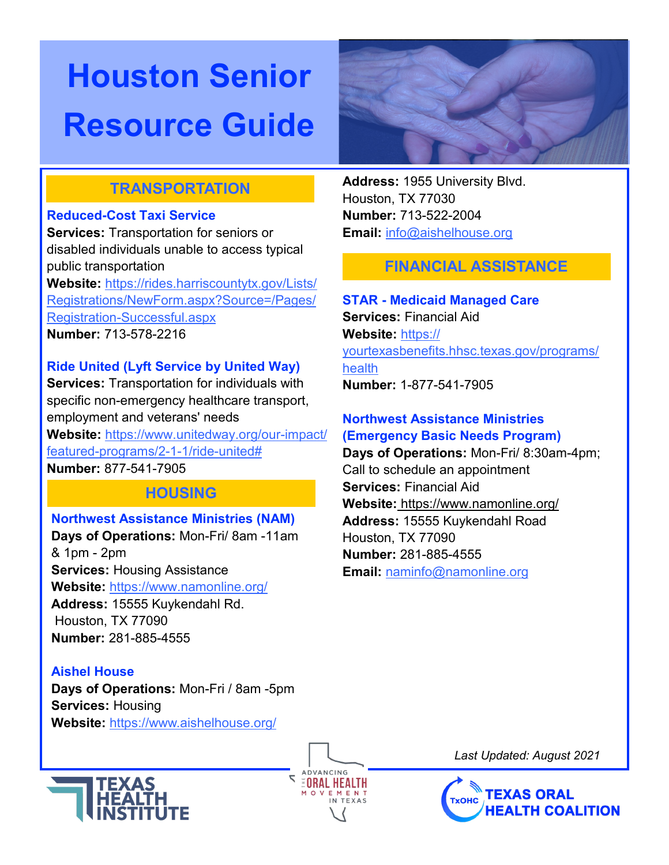

# **TRANSPORTATION**

### **Reduced-Cost Taxi Service**

**Services:** Transportation for seniors or disabled individuals unable to access typical public transportation

**Website:** [https://rides.harriscountytx.gov/Lists/](https://rides.harriscountytx.gov/Lists/Registrations/NewForm.aspx?Source=/Pages/Registration-Successful.aspx) [Registrations/NewForm.aspx?Source=/Pages/](https://rides.harriscountytx.gov/Lists/Registrations/NewForm.aspx?Source=/Pages/Registration-Successful.aspx) Registration-[Successful.aspx](https://rides.harriscountytx.gov/Lists/Registrations/NewForm.aspx?Source=/Pages/Registration-Successful.aspx) **Number:** 713-578-2216

# **Ride United (Lyft Service by United Way)**

**Services:** Transportation for individuals with specific non-emergency healthcare transport, employment and veterans' needs **Website:** [https://www.unitedway.org/our](https://www.unitedway.org/our-impact/featured-programs/2-1-1/ride-united)-impact/ featured-[programs/2](https://www.unitedway.org/our-impact/featured-programs/2-1-1/ride-united)-1-1/ride-united# **Number:** 877-541-7905

# **HOUSING**

# **Northwest Assistance Ministries (NAM)**

**Days of Operations:** Mon-Fri/ 8am -11am & 1pm - 2pm **Services:** Housing Assistance **Website:** https://www.namonline.org/ **Address:** 15555 Kuykendahl Rd. Houston, TX 77090 **Number:** 281-885-4555

**Aishel House Days of Operations:** Mon-Fri / 8am -5pm **Services:** Housing **Website:** <https://www.aishelhouse.org/>



**Address:** 1955 University Blvd. Houston, TX 77030 **Number:** 713-522-2004 **Email:** [info@aishelhouse.org](mailto:info@aishelhouse.org)

# **FINANCIAL ASSISTANCE**

# **STAR - Medicaid Managed Care**

**Services:** Financial Aid **Website:** https:// yourtexasbenefits.hhsc.texas.gov/programs/ health **Number:** 1-877-541-7905

#### **Northwest Assistance Ministries (Emergency Basic Needs Program)**

**Days of Operations:** Mon-Fri/ 8:30am-4pm; Call to schedule an appointment **Services:** Financial Aid **Website:** https://www.namonline.org/ **Address:** 15555 Kuykendahl Road Houston, TX 77090 **Number:** 281-885-4555 **Email:** [naminfo@namonline.org](mailto:naminfo@namonline.org)

**ADVANCING EORAL HEALTH** 

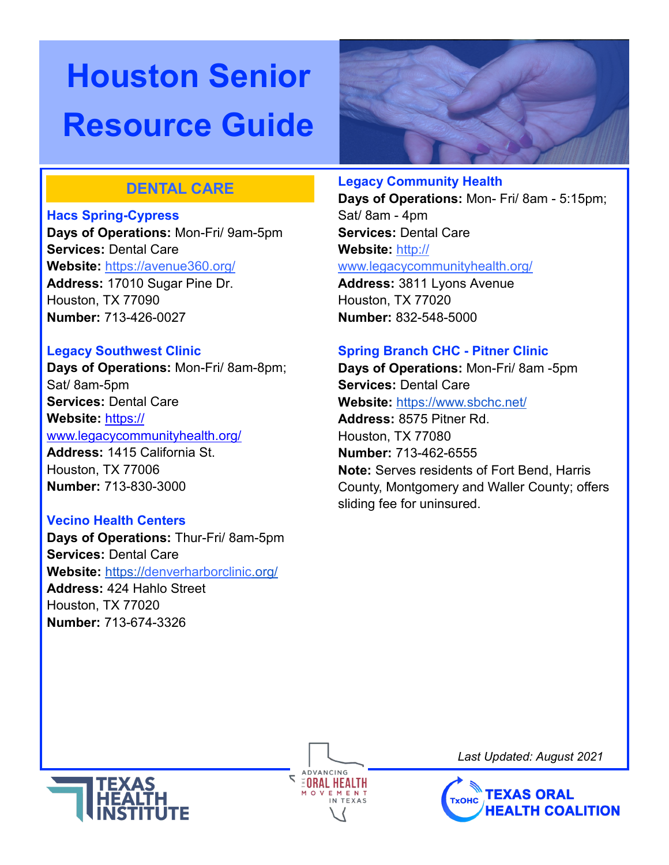

# **DENTAL CARE**

#### **Hacs Spring-Cypress**

**Days of Operations:** Mon-Fri/ 9am-5pm **Services:** Dental Care **Website:** <https://avenue360.org/> **Address:** 17010 Sugar Pine Dr. Houston, TX 77090 **Number:** 713-426-0027

#### **Legacy Southwest Clinic**

**Days of Operations:** Mon-Fri/ 8am-8pm; Sat/ 8am-5pm **Services:** Dental Care **Website:** [https://](https://www.legacycommunityhealth.org/) [www.legacycommunityhealth.org/](https://www.legacycommunityhealth.org/) **Address:** 1415 California St. Houston, TX 77006 **Number:** 713-830-3000

## **Vecino Health Centers**

**Days of Operations:** Thur-Fri/ 8am-5pm **Services:** Dental Care **Website:** <https://denverharborclinic.org/> **Address:** 424 Hahlo Street Houston, TX 77020 **Number:** 713-674-3326

#### **Legacy Community Health**

**Days of Operations:** Mon- Fri/ 8am - 5:15pm; Sat/ 8am - 4pm **Services:** Dental Care **Website:** [http://](http://www.legacycommunityhealth.org/)

[www.legacycommunityhealth.org/](http://www.legacycommunityhealth.org/)

**Address:** 3811 Lyons Avenue Houston, TX 77020 **Number:** 832-548-5000

#### **Spring Branch CHC - Pitner Clinic**

**Days of Operations:** Mon-Fri/ 8am -5pm **Services:** Dental Care **Website:** <https://www.sbchc.net/> **Address:** 8575 Pitner Rd. Houston, TX 77080 **Number:** 713-462-6555 **Note:** Serves residents of Fort Bend, Harris County, Montgomery and Waller County; offers sliding fee for uninsured.



**ADVANCING EORAL HEALTH**